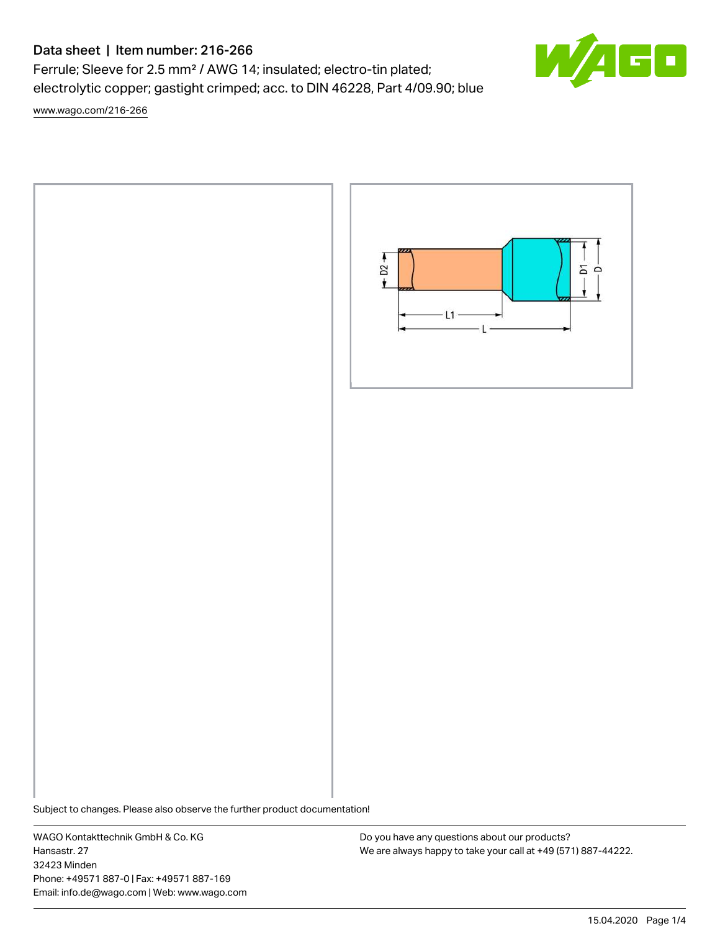# Data sheet | Item number: 216-266

Ferrule; Sleeve for 2.5 mm² / AWG 14; insulated; electro-tin plated; electrolytic copper; gastight crimped; acc. to DIN 46228, Part 4/09.90; blue

[www.wago.com/216-266](http://www.wago.com/216-266)



Subject to changes. Please also observe the further product documentation!

WAGO Kontakttechnik GmbH & Co. KG Hansastr. 27 32423 Minden Phone: +49571 887-0 | Fax: +49571 887-169 Email: info.de@wago.com | Web: www.wago.com

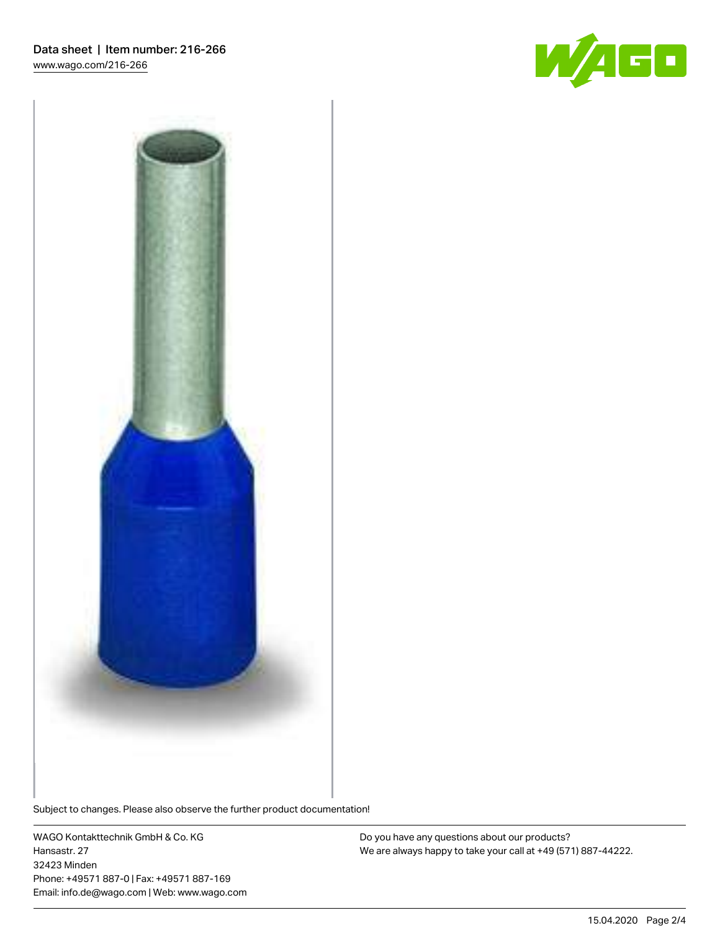



Subject to changes. Please also observe the further product documentation!

WAGO Kontakttechnik GmbH & Co. KG Hansastr. 27 32423 Minden Phone: +49571 887-0 | Fax: +49571 887-169 Email: info.de@wago.com | Web: www.wago.com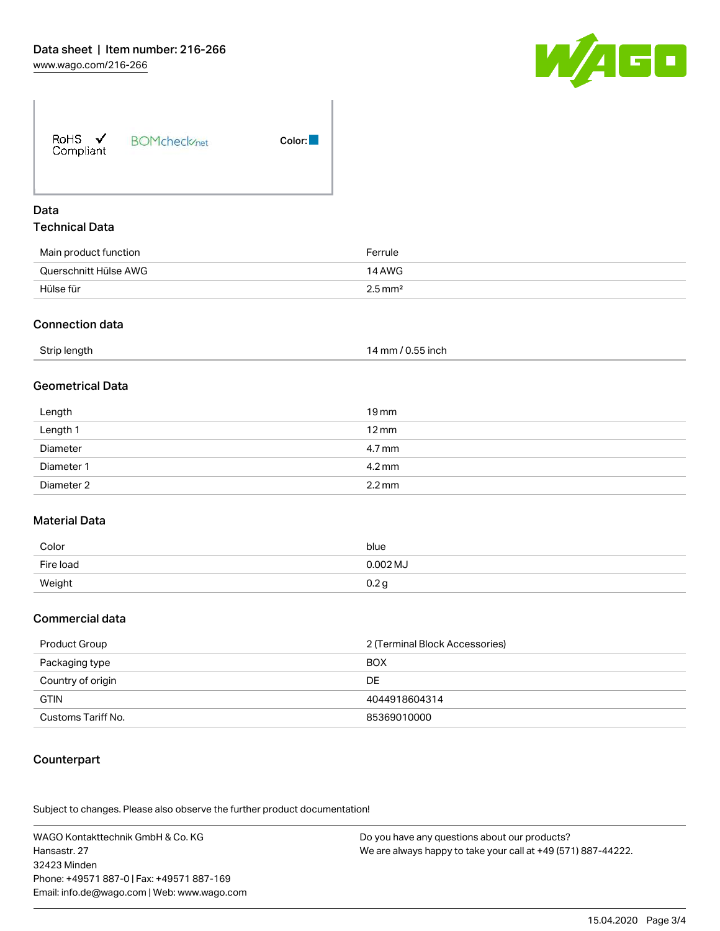

| Color: |
|--------|
|        |

## Data Technical Data

| Main product function | Ferrule               |
|-----------------------|-----------------------|
| Querschnitt Hülse AWG | 14 AWG                |
| Hülse für             | $2.5 \,\mathrm{mm}^2$ |

#### Connection data

| Strip length | 14 mm / 0.55 inch |
|--------------|-------------------|
|--------------|-------------------|

## Geometrical Data

| Length<br>and the control of the con- | $19 \,\mathrm{mm}$  |
|---------------------------------------|---------------------|
| Length 1                              | $12 \,\mathrm{mm}$  |
| Diameter                              | 4.7 mm              |
| Diameter 1                            | 4.2 mm              |
| Diameter 2                            | $2.2 \,\mathrm{mm}$ |

## Material Data

| Color     | blue       |
|-----------|------------|
| Fire load | $0.002$ MJ |
| Weight    | ب ے.ب      |

#### Commercial data

| Product Group      | 2 (Terminal Block Accessories) |  |
|--------------------|--------------------------------|--|
| Packaging type     | <b>BOX</b>                     |  |
| Country of origin  | DE                             |  |
| <b>GTIN</b>        | 4044918604314                  |  |
| Customs Tariff No. | 85369010000                    |  |

## Counterpart

.<br>Subject to changes. Please also observe the further product documentation!

WAGO Kontakttechnik GmbH & Co. KG Hansastr. 27 32423 Minden Phone: +49571 887-0 | Fax: +49571 887-169 Email: info.de@wago.com | Web: www.wago.com